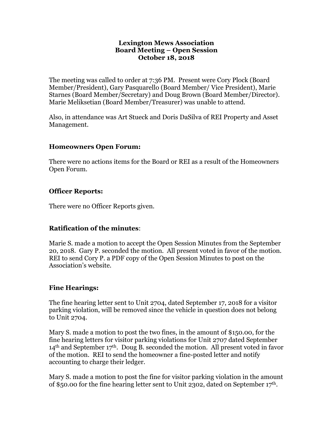#### **Lexington Mews Association Board Meeting – Open Session October 18, 2018**

The meeting was called to order at 7:36 PM. Present were Cory Plock (Board Member/President), Gary Pasquarello (Board Member/ Vice President), Marie Starnes (Board Member/Secretary) and Doug Brown (Board Member/Director). Marie Meliksetian (Board Member/Treasurer) was unable to attend.

Also, in attendance was Art Stueck and Doris DaSilva of REI Property and Asset Management.

#### **Homeowners Open Forum:**

There were no actions items for the Board or REI as a result of the Homeowners Open Forum.

#### **Officer Reports:**

There were no Officer Reports given.

# **Ratification of the minutes**:

Marie S. made a motion to accept the Open Session Minutes from the September 20, 2018. Gary P. seconded the motion. All present voted in favor of the motion. REI to send Cory P. a PDF copy of the Open Session Minutes to post on the Association's website.

# **Fine Hearings:**

The fine hearing letter sent to Unit 2704, dated September 17, 2018 for a visitor parking violation, will be removed since the vehicle in question does not belong to Unit 2704.

Mary S. made a motion to post the two fines, in the amount of \$150.00, for the fine hearing letters for visitor parking violations for Unit 2707 dated September  $14<sup>th</sup>$  and September  $17<sup>th</sup>$ . Doug B. seconded the motion. All present voted in favor of the motion. REI to send the homeowner a fine-posted letter and notify accounting to charge their ledger.

Mary S. made a motion to post the fine for visitor parking violation in the amount of \$50.00 for the fine hearing letter sent to Unit 2302, dated on September 17th.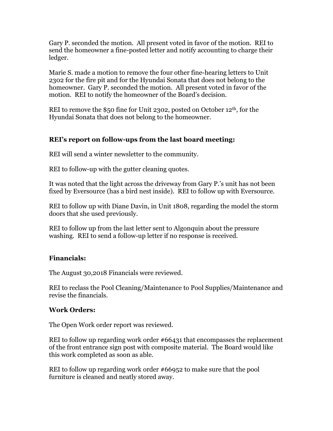Gary P. seconded the motion. All present voted in favor of the motion. REI to send the homeowner a fine-posted letter and notify accounting to charge their ledger.

Marie S. made a motion to remove the four other fine-hearing letters to Unit 2302 for the fire pit and for the Hyundai Sonata that does not belong to the homeowner. Gary P. seconded the motion. All present voted in favor of the motion. REI to notify the homeowner of the Board's decision.

REI to remove the \$50 fine for Unit 2302, posted on October 12<sup>th</sup>, for the Hyundai Sonata that does not belong to the homeowner.

# **REI's report on follow-ups from the last board meeting:**

REI will send a winter newsletter to the community.

REI to follow-up with the gutter cleaning quotes.

It was noted that the light across the driveway from Gary P.'s unit has not been fixed by Eversource (has a bird nest inside). REI to follow up with Eversource.

REI to follow up with Diane Davin, in Unit 1808, regarding the model the storm doors that she used previously.

REI to follow up from the last letter sent to Algonquin about the pressure washing. REI to send a follow-up letter if no response is received.

# **Financials:**

The August 30,2018 Financials were reviewed.

REI to reclass the Pool Cleaning/Maintenance to Pool Supplies/Maintenance and revise the financials.

# **Work Orders:**

The Open Work order report was reviewed.

REI to follow up regarding work order #66431 that encompasses the replacement of the front entrance sign post with composite material. The Board would like this work completed as soon as able.

REI to follow up regarding work order #66952 to make sure that the pool furniture is cleaned and neatly stored away.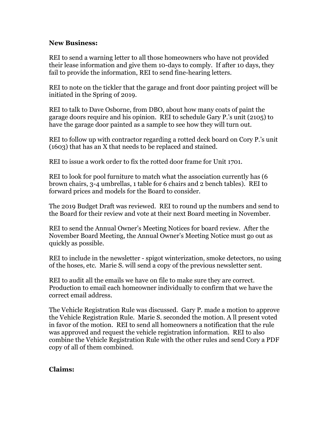#### **New Business:**

REI to send a warning letter to all those homeowners who have not provided their lease information and give them 10-days to comply. If after 10 days, they fail to provide the information, REI to send fine-hearing letters.

REI to note on the tickler that the garage and front door painting project will be initiated in the Spring of 2019.

REI to talk to Dave Osborne, from DBO, about how many coats of paint the garage doors require and his opinion. REI to schedule Gary P.'s unit (2105) to have the garage door painted as a sample to see how they will turn out.

REI to follow up with contractor regarding a rotted deck board on Cory P.'s unit (1603) that has an X that needs to be replaced and stained.

REI to issue a work order to fix the rotted door frame for Unit 1701.

REI to look for pool furniture to match what the association currently has (6 brown chairs, 3-4 umbrellas, 1 table for 6 chairs and 2 bench tables). REI to forward prices and models for the Board to consider.

The 2019 Budget Draft was reviewed. REI to round up the numbers and send to the Board for their review and vote at their next Board meeting in November.

REI to send the Annual Owner's Meeting Notices for board review. After the November Board Meeting, the Annual Owner's Meeting Notice must go out as quickly as possible.

REI to include in the newsletter - spigot winterization, smoke detectors, no using of the hoses, etc. Marie S. will send a copy of the previous newsletter sent.

REI to audit all the emails we have on file to make sure they are correct. Production to email each homeowner individually to confirm that we have the correct email address.

The Vehicle Registration Rule was discussed. Gary P. made a motion to approve the Vehicle Registration Rule. Marie S. seconded the motion. A ll present voted in favor of the motion. REI to send all homeowners a notification that the rule was approved and request the vehicle registration information. REI to also combine the Vehicle Registration Rule with the other rules and send Cory a PDF copy of all of them combined.

#### **Claims:**